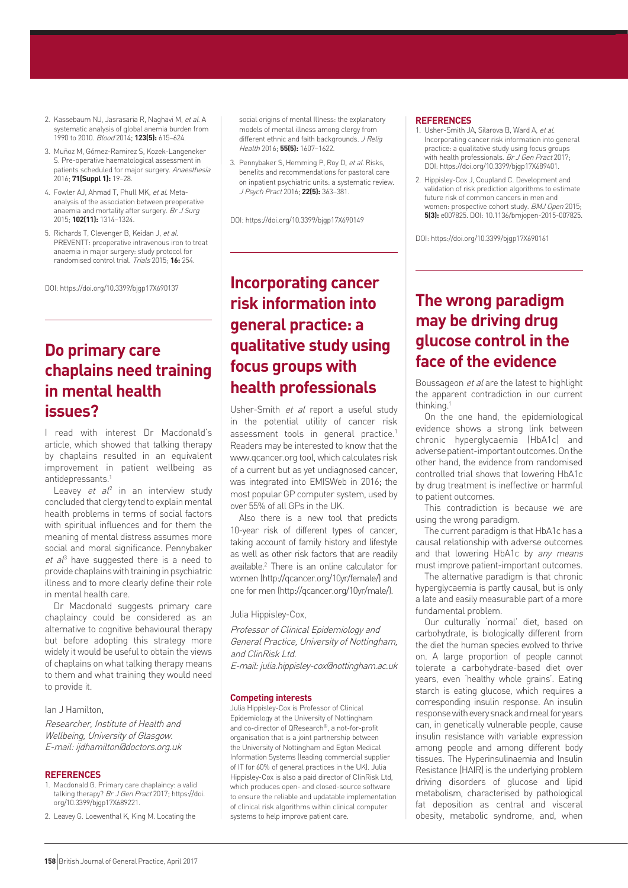- 2. Kassebaum NJ, Jasrasaria R, Naghavi M, et al. A systematic analysis of global anemia burden from 1990 to 2010. Blood 2014; **123(5):** 615–624.
- 3. Muñoz M, Gómez-Ramirez S, Kozek-Langeneker S. Pre-operative haematological assessment in patients scheduled for major surgery. Anaesthesia 2016; **71(Suppl 1):** 19–28.
- 4. Fowler AJ, Ahmad T, Phull MK, et al. Metaanalysis of the association between preoperative anaemia and mortality after surgery. Br J Surg 2015; **102(11):** 1314–1324.
- 5. Richards T, Clevenger B, Keidan J, et al. PREVENTT: preoperative intravenous iron to treat anaemia in major surgery: study protocol for randomised control trial. Trials 2015; **16:** 254.

DOI: https://doi.org/10.3399/bjgp17X690137

## **Do primary care chaplains need training in mental health issues?**

I read with interest Dr Macdonald's article, which showed that talking therapy by chaplains resulted in an equivalent improvement in patient wellbeing as antidepressants.<sup>1</sup>

Leavey et  $al^2$  in an interview study concluded that clergy tend to explain mental health problems in terms of social factors with spiritual influences and for them the meaning of mental distress assumes more social and moral significance. Pennybaker  $et$   $al^3$  have suggested there is a need to provide chaplains with training in psychiatric illness and to more clearly define their role in mental health care.

Dr Macdonald suggests primary care chaplaincy could be considered as an alternative to cognitive behavioural therapy but before adopting this strategy more widely it would be useful to obtain the views of chaplains on what talking therapy means to them and what training they would need to provide it.

### Ian J Hamilton,

Researcher, Institute of Health and Wellbeing, University of Glasgow. E-mail: ijdhamilton@doctors.org.uk

#### **REFERENCES**

- 1. Macdonald G. Primary care chaplaincy: a valid talking therapy? Br J Gen Pract 2017; https://doi. org/10.3399/bjgp17X689221.
- 2. Leavey G. Loewenthal K, King M. Locating the

social origins of mental Illness: the explanatory models of mental illness among clergy from different ethnic and faith backgrounds. J Relig Health 2016; **55(5):** 1607–1622.

3. Pennybaker S, Hemming P, Roy D, et al. Risks, benefits and recommendations for pastoral care on inpatient psychiatric units: a systematic review. J Psych Pract 2016; **22(5):** 363–381.

DOI: https://doi.org/10.3399/bjgp17X690149

# **Incorporating cancer risk information into general practice: a qualitative study using focus groups with health professionals**

Usher-Smith et al report a useful study in the potential utility of cancer risk assessment tools in general practice.<sup>1</sup> Readers may be interested to know that the www.qcancer.org tool, which calculates risk of a current but as yet undiagnosed cancer, was integrated into EMISWeb in 2016; the most popular GP computer system, used by over 55% of all GPs in the UK.

Also there is a new tool that predicts 10-year risk of different types of cancer, taking account of family history and lifestyle as well as other risk factors that are readily available.2 There is an online calculator for women (http://qcancer.org/10yr/female/) and one for men (http://qcancer.org/10yr/male/).

Julia Hippisley-Cox,

Professor of Clinical Epidemiology and General Practice, University of Nottingham, and ClinRisk Ltd.

E-mail: julia.hippisley-cox@nottingham.ac.uk

#### **Competing interests**

Julia Hippisley-Cox is Professor of Clinical Epidemiology at the University of Nottingham and co-director of QResearch®, a not-for-profit organisation that is a joint partnership between the University of Nottingham and Egton Medical Information Systems (leading commercial supplier of IT for 60% of general practices in the UK). Julia Hippisley-Cox is also a paid director of ClinRisk Ltd, which produces open- and closed-source software to ensure the reliable and updatable implementation of clinical risk algorithms within clinical computer systems to help improve patient care.

#### **REFERENCES**

- 1. Usher-Smith JA, Silarova B, Ward A, et al. Incorporating cancer risk information into general practice: a qualitative study using focus groups with health professionals. Br J Gen Pract 2017; DOI: https://doi.org/10.3399/bjgp17X689401.
- 2. Hippisley-Cox J, Coupland C. Development and validation of risk prediction algorithms to estimate future risk of common cancers in men and women: prospective cohort study. BMJ Open 2015; **5(3):** e007825. DOI: 10.1136/bmjopen-2015-007825.

DOI: https://doi.org/10.3399/bjgp17X690161

## **The wrong paradigm may be driving drug glucose control in the face of the evidence**

Boussageon et al are the latest to highlight the apparent contradiction in our current thinking.1

On the one hand, the epidemiological evidence shows a strong link between chronic hyperglycaemia (HbA1c) and adverse patient-important outcomes. On the other hand, the evidence from randomised controlled trial shows that lowering HbA1c by drug treatment is ineffective or harmful to patient outcomes.

This contradiction is because we are using the wrong paradigm.

The current paradigm is that HbA1c has a causal relationship with adverse outcomes and that lowering HbA1c by any means must improve patient-important outcomes.

The alternative paradigm is that chronic hyperglycaemia is partly causal, but is only a late and easily measurable part of a more fundamental problem.

Our culturally 'normal' diet, based on carbohydrate, is biologically different from the diet the human species evolved to thrive on. A large proportion of people cannot tolerate a carbohydrate-based diet over years, even 'healthy whole grains'. Eating starch is eating glucose, which requires a corresponding insulin response. An insulin response with every snack and meal for years can, in genetically vulnerable people, cause insulin resistance with variable expression among people and among different body tissues. The Hyperinsulinaemia and Insulin Resistance (HAIR) is the underlying problem driving disorders of glucose and lipid metabolism, characterised by pathological fat deposition as central and visceral obesity, metabolic syndrome, and, when